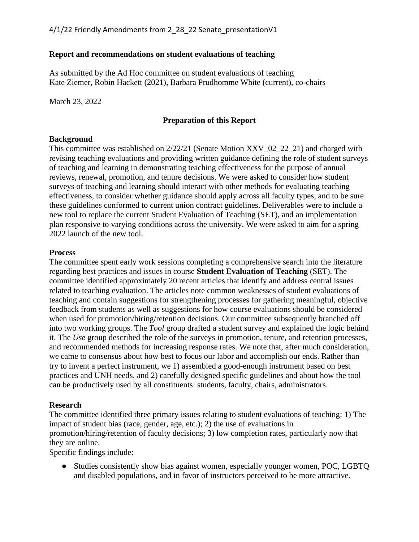### **Report and recommendations on student evaluations of teaching**

As submitted by the Ad Hoc committee on student evaluations of teaching Kate Ziemer, Robin Hackett (2021), Barbara Prudhomme White (current), co-chairs

March 23, 2022

## **Preparation of this Report**

### **Background**

This committee was established on 2/22/21 (Senate Motion XXV\_02\_22\_21) and charged with revising teaching evaluations and providing written guidance defining the role of student surveys of teaching and learning in demonstrating teaching effectiveness for the purpose of annual reviews, renewal, promotion, and tenure decisions. We were asked to consider how student surveys of teaching and learning should interact with other methods for evaluating teaching effectiveness, to consider whether guidance should apply across all faculty types, and to be sure these guidelines conformed to current union contract guidelines. Deliverables were to include a new tool to replace the current Student Evaluation of Teaching (SET), and an implementation plan responsive to varying conditions across the university. We were asked to aim for a spring 2022 launch of the new tool.

### **Process**

The committee spent early work sessions completing a comprehensive search into the literature regarding best practices and issues in course **Student Evaluation of Teaching** (SET). The committee identified approximately 20 recent articles that identify and address central issues related to teaching evaluation. The articles note common weaknesses of student evaluations of teaching and contain suggestions for strengthening processes for gathering meaningful, objective feedback from students as well as suggestions for how course evaluations should be considered when used for promotion/hiring/retention decisions. Our committee subsequently branched off into two working groups. The *Tool* group drafted a student survey and explained the logic behind it. The *Use* group described the role of the surveys in promotion, tenure, and retention processes, and recommended methods for increasing response rates. We note that, after much consideration, we came to consensus about how best to focus our labor and accomplish our ends. Rather than try to invent a perfect instrument, we 1) assembled a good-enough instrument based on best practices and UNH needs, and 2) carefully designed specific guidelines and about how the tool can be productively used by all constituents: students, faculty, chairs, administrators.

## **Research**

The committee identified three primary issues relating to student evaluations of teaching: 1) The impact of student bias (race, gender, age, etc.); 2) the use of evaluations in promotion/hiring/retention of faculty decisions; 3) low completion rates, particularly now that they are online.

Specific findings include:

• Studies consistently show bias against women, especially younger women, POC, LGBTQ and disabled populations, and in favor of instructors perceived to be more attractive.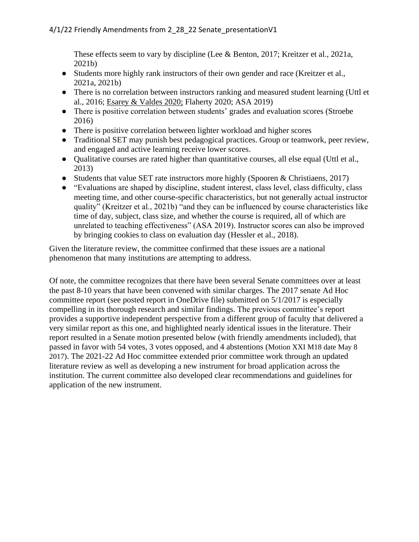These effects seem to vary by discipline (Lee & Benton, 2017; Kreitzer et al., 2021a, 2021b)

- Students more highly rank instructors of their own gender and race (Kreitzer et al., 2021a, 2021b)
- There is no correlation between instructors ranking and measured student learning (Uttl et al., 2016; Esarey & Valdes 2020; Flaherty 2020; ASA 2019)
- There is positive correlation between students' grades and evaluation scores (Stroebe) 2016)
- There is positive correlation between lighter workload and higher scores
- Traditional SET may punish best pedagogical practices. Group or teamwork, peer review, and engaged and active learning receive lower scores.
- Qualitative courses are rated higher than quantitative courses, all else equal (Uttl et al., 2013)
- Students that value SET rate instructors more highly (Spooren & Christiaens, 2017)
- "Evaluations are shaped by discipline, student interest, class level, class difficulty, class meeting time, and other course-specific characteristics, but not generally actual instructor quality" (Kreitzer et al., 2021b) "and they can be influenced by course characteristics like time of day, subject, class size, and whether the course is required, all of which are unrelated to teaching effectiveness" (ASA 2019). Instructor scores can also be improved by bringing cookies to class on evaluation day (Hessler et al., 2018).

Given the literature review, the committee confirmed that these issues are a national phenomenon that many institutions are attempting to address.

Of note, the committee recognizes that there have been several Senate committees over at least the past 8-10 years that have been convened with similar charges. The 2017 senate Ad Hoc committee report (see posted report in OneDrive file) submitted on 5/1/2017 is especially compelling in its thorough research and similar findings. The previous committee's report provides a supportive independent perspective from a different group of faculty that delivered a very similar report as this one, and highlighted nearly identical issues in the literature. Their report resulted in a Senate motion presented below (with friendly amendments included), that passed in favor with 54 votes, 3 votes opposed, and 4 abstentions (Motion XXI M18 date May 8 2017). The 2021-22 Ad Hoc committee extended prior committee work through an updated literature review as well as developing a new instrument for broad application across the institution. The current committee also developed clear recommendations and guidelines for application of the new instrument.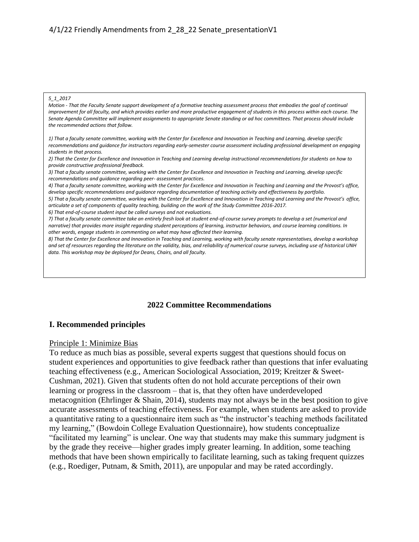#### *5\_1\_2017*

*Motion - That the Faculty Senate support development of a formative teaching assessment process that embodies the goal of continual improvement for all faculty, and which provides earlier and more productive engagement of students in this process within each course. The Senate Agenda Committee will implement assignments to appropriate Senate standing or ad hoc committees. That process should include the recommended actions that follow.*

*1) That a faculty senate committee, working with the Center for Excellence and Innovation in Teaching and Learning, develop specific recommendations and guidance for instructors regarding early-semester course assessment including professional development on engaging students in that process.*

*2) That the Center for Excellence and Innovation in Teaching and Learning develop instructional recommendations for students on how to provide constructive professional feedback.*

*3) That a faculty senate committee, working with the Center for Excellence and Innovation in Teaching and Learning, develop specific recommendations and guidance regarding peer- assessment practices.*

*4) That a faculty senate committee, working with the Center for Excellence and Innovation in Teaching and Learning and the Provost's office, develop specific recommendations and guidance regarding documentation of teaching activity and effectiveness by portfolio.*

*5) That a faculty senate committee, working with the Center for Excellence and Innovation in Teaching and Learning and the Provost's office, articulate a set of components of quality teaching, building on the work of the Study Committee 2016-2017.*

*6) That end-of-course student input be called surveys and not evaluations.*

*7) That a faculty senate committee take an entirely fresh look at student end-of-course survey prompts to develop a set (numerical and narrative) that provides more insight regarding student perceptions of learning, instructor behaviors, and course learning conditions. In other words, engage students in commenting on what may have affected their learning.*

*8) That the Center for Excellence and Innovation in Teaching and Learning, working with faculty senate representatives, develop a workshop and set of resources regarding the literature on the validity, bias, and reliability of numerical course surveys, including use of historical UNH data. This workshop may be deployed for Deans, Chairs, and all faculty.*

#### **2022 Committee Recommendations**

#### **I. Recommended principles**

#### Principle 1: Minimize Bias

To reduce as much bias as possible, several experts suggest that questions should focus on student experiences and opportunities to give feedback rather than questions that infer evaluating teaching effectiveness (e.g., American Sociological Association, 2019; Kreitzer & Sweet-Cushman, 2021). Given that students often do not hold accurate perceptions of their own learning or progress in the classroom – that is, that they often have underdeveloped metacognition (Ehrlinger & Shain, 2014), students may not always be in the best position to give accurate assessments of teaching effectiveness. For example, when students are asked to provide a quantitative rating to a questionnaire item such as "the instructor's teaching methods facilitated my learning," (Bowdoin College Evaluation Questionnaire), how students conceptualize "facilitated my learning" is unclear. One way that students may make this summary judgment is by the grade they receive—higher grades imply greater learning. In addition, some teaching methods that have been shown empirically to facilitate learning, such as taking frequent quizzes (e.g., Roediger, Putnam, & Smith, 2011), are unpopular and may be rated accordingly.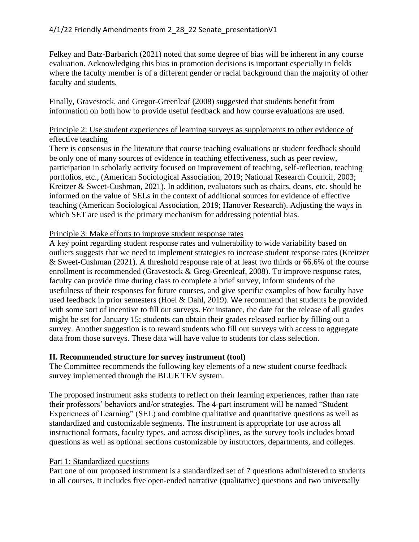Felkey and Batz-Barbarich (2021) noted that some degree of bias will be inherent in any course evaluation. Acknowledging this bias in promotion decisions is important especially in fields where the faculty member is of a different gender or racial background than the majority of other faculty and students.

Finally, Gravestock, and Gregor-Greenleaf (2008) suggested that students benefit from information on both how to provide useful feedback and how course evaluations are used.

### Principle 2: Use student experiences of learning surveys as supplements to other evidence of effective teaching

There is consensus in the literature that course teaching evaluations or student feedback should be only one of many sources of evidence in teaching effectiveness, such as peer review, participation in scholarly activity focused on improvement of teaching, self-reflection, teaching portfolios, etc., (American Sociological Association, 2019; National Research Council, 2003; Kreitzer & Sweet-Cushman, 2021). In addition, evaluators such as chairs, deans, etc. should be informed on the value of SELs in the context of additional sources for evidence of effective teaching (American Sociological Association, 2019; Hanover Research). Adjusting the ways in which SET are used is the primary mechanism for addressing potential bias.

### Principle 3: Make efforts to improve student response rates

A key point regarding student response rates and vulnerability to wide variability based on outliers suggests that we need to implement strategies to increase student response rates (Kreitzer & Sweet-Cushman (2021). A threshold response rate of at least two thirds or 66.6% of the course enrollment is recommended (Gravestock & Greg-Greenleaf, 2008). To improve response rates, faculty can provide time during class to complete a brief survey, inform students of the usefulness of their responses for future courses, and give specific examples of how faculty have used feedback in prior semesters (Hoel & Dahl, 2019). We recommend that students be provided with some sort of incentive to fill out surveys. For instance, the date for the release of all grades might be set for January 15; students can obtain their grades released earlier by filling out a survey. Another suggestion is to reward students who fill out surveys with access to aggregate data from those surveys. These data will have value to students for class selection.

## **II. Recommended structure for survey instrument (tool)**

The Committee recommends the following key elements of a new student course feedback survey implemented through the BLUE TEV system.

The proposed instrument asks students to reflect on their learning experiences, rather than rate their professors' behaviors and/or strategies. The 4-part instrument will be named "Student Experiences of Learning" (SEL) and combine qualitative and quantitative questions as well as standardized and customizable segments. The instrument is appropriate for use across all instructional formats, faculty types, and across disciplines, as the survey tools includes broad questions as well as optional sections customizable by instructors, departments, and colleges.

## Part 1: Standardized questions

Part one of our proposed instrument is a standardized set of 7 questions administered to students in all courses. It includes five open-ended narrative (qualitative) questions and two universally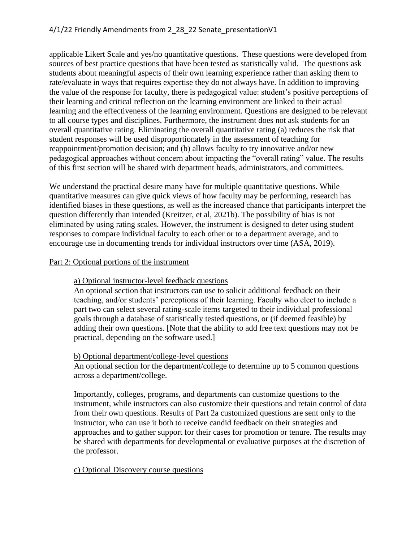## 4/1/22 Friendly Amendments from 2 28 22 Senate presentationV1

applicable Likert Scale and yes/no quantitative questions. These questions were developed from sources of best practice questions that have been tested as statistically valid. The questions ask students about meaningful aspects of their own learning experience rather than asking them to rate/evaluate in ways that requires expertise they do not always have. In addition to improving the value of the response for faculty, there is pedagogical value: student's positive perceptions of their learning and critical reflection on the learning environment are linked to their actual learning and the effectiveness of the learning environment. Questions are designed to be relevant to all course types and disciplines. Furthermore, the instrument does not ask students for an overall quantitative rating. Eliminating the overall quantitative rating (a) reduces the risk that student responses will be used disproportionately in the assessment of teaching for reappointment/promotion decision; and (b) allows faculty to try innovative and/or new pedagogical approaches without concern about impacting the "overall rating" value. The results of this first section will be shared with department heads, administrators, and committees.

We understand the practical desire many have for multiple quantitative questions. While quantitative measures can give quick views of how faculty may be performing, research has identified biases in these questions, as well as the increased chance that participants interpret the question differently than intended (Kreitzer, et al, 2021b). The possibility of bias is not eliminated by using rating scales. However, the instrument is designed to deter using student responses to compare individual faculty to each other or to a department average, and to encourage use in documenting trends for individual instructors over time (ASA, 2019).

#### Part 2: Optional portions of the instrument

## a) Optional instructor-level feedback questions

An optional section that instructors can use to solicit additional feedback on their teaching, and/or students' perceptions of their learning. Faculty who elect to include a part two can select several rating-scale items targeted to their individual professional goals through a database of statistically tested questions, or (if deemed feasible) by adding their own questions. [Note that the ability to add free text questions may not be practical, depending on the software used.]

#### b) Optional department/college-level questions

An optional section for the department/college to determine up to 5 common questions across a department/college.

Importantly, colleges, programs, and departments can customize questions to the instrument, while instructors can also customize their questions and retain control of data from their own questions. Results of Part 2a customized questions are sent only to the instructor, who can use it both to receive candid feedback on their strategies and approaches and to gather support for their cases for promotion or tenure. The results may be shared with departments for developmental or evaluative purposes at the discretion of the professor.

## c) Optional Discovery course questions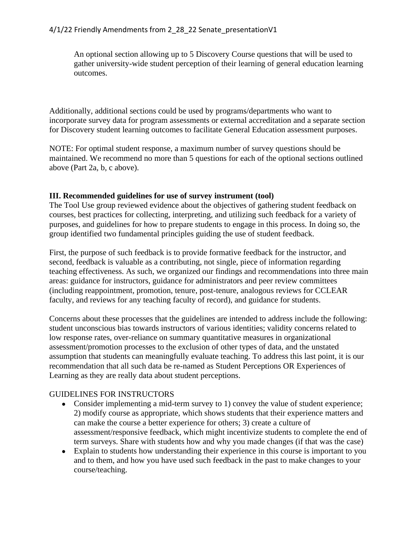An optional section allowing up to 5 Discovery Course questions that will be used to gather university-wide student perception of their learning of general education learning outcomes.

Additionally, additional sections could be used by programs/departments who want to incorporate survey data for program assessments or external accreditation and a separate section for Discovery student learning outcomes to facilitate General Education assessment purposes.

NOTE: For optimal student response, a maximum number of survey questions should be maintained. We recommend no more than 5 questions for each of the optional sections outlined above (Part 2a, b, c above).

### **III. Recommended guidelines for use of survey instrument (tool)**

The Tool Use group reviewed evidence about the objectives of gathering student feedback on courses, best practices for collecting, interpreting, and utilizing such feedback for a variety of purposes, and guidelines for how to prepare students to engage in this process. In doing so, the group identified two fundamental principles guiding the use of student feedback.

First, the purpose of such feedback is to provide formative feedback for the instructor, and second, feedback is valuable as a contributing, not single, piece of information regarding teaching effectiveness. As such, we organized our findings and recommendations into three main areas: guidance for instructors, guidance for administrators and peer review committees (including reappointment, promotion, tenure, post-tenure, analogous reviews for CCLEAR faculty, and reviews for any teaching faculty of record), and guidance for students.

Concerns about these processes that the guidelines are intended to address include the following: student unconscious bias towards instructors of various identities; validity concerns related to low response rates, over-reliance on summary quantitative measures in organizational assessment/promotion processes to the exclusion of other types of data, and the unstated assumption that students can meaningfully evaluate teaching. To address this last point, it is our recommendation that all such data be re-named as Student Perceptions OR Experiences of Learning as they are really data about student perceptions.

## GUIDELINES FOR INSTRUCTORS

- Consider implementing a mid-term survey to 1) convey the value of student experience; 2) modify course as appropriate, which shows students that their experience matters and can make the course a better experience for others; 3) create a culture of assessment/responsive feedback, which might incentivize students to complete the end of term surveys. Share with students how and why you made changes (if that was the case)
- Explain to students how understanding their experience in this course is important to you and to them, and how you have used such feedback in the past to make changes to your course/teaching.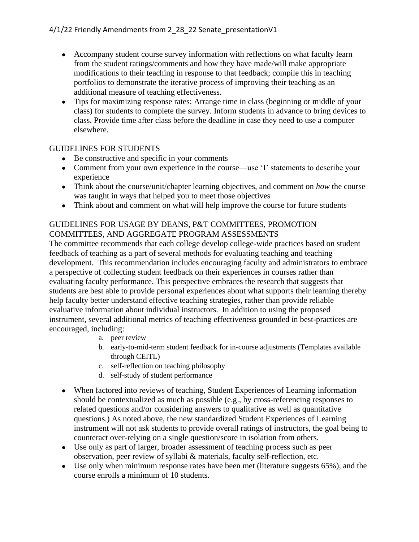- Accompany student course survey information with reflections on what faculty learn from the student ratings/comments and how they have made/will make appropriate modifications to their teaching in response to that feedback; compile this in teaching portfolios to demonstrate the iterative process of improving their teaching as an additional measure of teaching effectiveness.
- Tips for maximizing response rates: Arrange time in class (beginning or middle of your class) for students to complete the survey. Inform students in advance to bring devices to class. Provide time after class before the deadline in case they need to use a computer elsewhere.

## GUIDELINES FOR STUDENTS

- Be constructive and specific in your comments
- Comment from your own experience in the course—use 'I' statements to describe your experience
- Think about the course/unit/chapter learning objectives, and comment on *how* the course was taught in ways that helped you to meet those objectives
- Think about and comment on what will help improve the course for future students

# GUIDELINES FOR USAGE BY DEANS, P&T COMMITTEES, PROMOTION COMMITTEES, AND AGGREGATE PROGRAM ASSESSMENTS

The committee recommends that each college develop college-wide practices based on student feedback of teaching as a part of several methods for evaluating teaching and teaching development. This recommendation includes encouraging faculty and administrators to embrace a perspective of collecting student feedback on their experiences in courses rather than evaluating faculty performance. This perspective embraces the research that suggests that students are best able to provide personal experiences about what supports their learning thereby help faculty better understand effective teaching strategies, rather than provide reliable evaluative information about individual instructors. In addition to using the proposed instrument, several additional metrics of teaching effectiveness grounded in best-practices are encouraged, including:

- a. peer review
- b. early-to-mid-term student feedback for in-course adjustments (Templates available through CEITL)
- c. self-reflection on teaching philosophy
- d. self-study of student performance
- When factored into reviews of teaching, Student Experiences of Learning information should be contextualized as much as possible (e.g., by cross-referencing responses to related questions and/or considering answers to qualitative as well as quantitative questions.) As noted above, the new standardized Student Experiences of Learning instrument will not ask students to provide overall ratings of instructors, the goal being to counteract over-relying on a single question/score in isolation from others.
- Use only as part of larger, broader assessment of teaching process such as peer observation, peer review of syllabi & materials, faculty self-reflection, etc.
- Use only when minimum response rates have been met (literature suggests 65%), and the course enrolls a minimum of 10 students.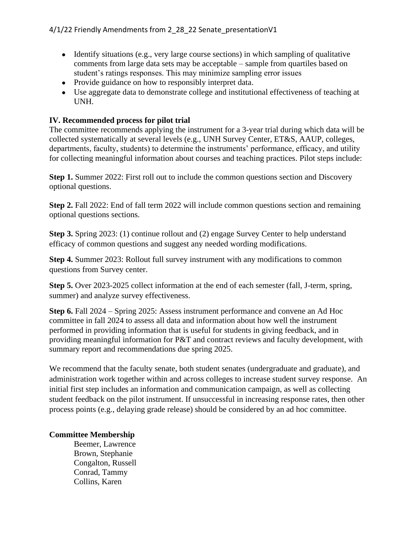- $\bullet$  Identify situations (e.g., very large course sections) in which sampling of qualitative comments from large data sets may be acceptable – sample from quartiles based on student's ratings responses. This may minimize sampling error issues
- Provide guidance on how to responsibly interpret data.
- Use aggregate data to demonstrate college and institutional effectiveness of teaching at UNH.

## **IV. Recommended process for pilot trial**

The committee recommends applying the instrument for a 3-year trial during which data will be collected systematically at several levels (e.g., UNH Survey Center, ET&S, AAUP, colleges, departments, faculty, students) to determine the instruments' performance, efficacy, and utility for collecting meaningful information about courses and teaching practices. Pilot steps include:

**Step 1.** Summer 2022: First roll out to include the common questions section and Discovery optional questions.

**Step 2.** Fall 2022: End of fall term 2022 will include common questions section and remaining optional questions sections.

**Step 3.** Spring 2023: (1) continue rollout and (2) engage Survey Center to help understand efficacy of common questions and suggest any needed wording modifications.

**Step 4.** Summer 2023: Rollout full survey instrument with any modifications to common questions from Survey center.

**Step 5.** Over 2023-2025 collect information at the end of each semester (fall, J-term, spring, summer) and analyze survey effectiveness.

**Step 6.** Fall 2024 – Spring 2025: Assess instrument performance and convene an Ad Hoc committee in fall 2024 to assess all data and information about how well the instrument performed in providing information that is useful for students in giving feedback, and in providing meaningful information for P&T and contract reviews and faculty development, with summary report and recommendations due spring 2025.

We recommend that the faculty senate, both student senates (undergraduate and graduate), and administration work together within and across colleges to increase student survey response. An initial first step includes an information and communication campaign, as well as collecting student feedback on the pilot instrument. If unsuccessful in increasing response rates, then other process points (e.g., delaying grade release) should be considered by an ad hoc committee.

## **Committee Membership**

Beemer, Lawrence Brown, Stephanie Congalton, Russell Conrad, Tammy Collins, Karen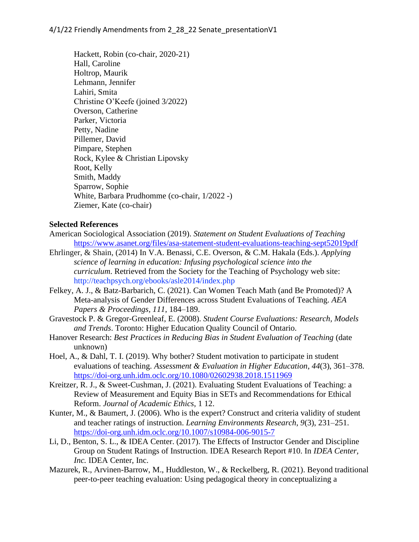Hackett, Robin (co-chair, 2020-21) Hall, Caroline Holtrop, Maurik Lehmann, Jennifer Lahiri, Smita Christine O'Keefe (joined 3/2022) Overson, Catherine Parker, Victoria Petty, Nadine Pillemer, David Pimpare, Stephen Rock, Kylee & Christian Lipovsky Root, Kelly Smith, Maddy Sparrow, Sophie White, Barbara Prudhomme (co-chair, 1/2022 -) Ziemer, Kate (co-chair)

#### **Selected References**

- American Sociological Association (2019). *Statement on Student Evaluations of Teaching* <https://www.asanet.org/files/asa-statement-student-evaluations-teaching-sept52019pdf>
- Ehrlinger, & Shain, (2014) In V.A. Benassi, C.E. Overson, & C.M. Hakala (Eds.). *Applying science of learning in education: Infusing psychological science into the curriculum*. Retrieved from the Society for the Teaching of Psychology web site: <http://teachpsych.org/ebooks/asle2014/index.php>
- Felkey, A. J., & Batz-Barbarich, C. (2021). Can Women Teach Math (and Be Promoted)? A Meta-analysis of Gender Differences across Student Evaluations of Teaching. *AEA Papers & Proceedings, 111*, 184–189.
- Gravestock P. & Gregor-Greenleaf, E. (2008). *Student Course Evaluations: Research, Models and Trends*. Toronto: Higher Education Quality Council of Ontario.
- Hanover Research: *Best Practices in Reducing Bias in Student Evaluation of Teaching* (date unknown)
- Hoel, A., & Dahl, T. I. (2019). Why bother? Student motivation to participate in student evaluations of teaching. *Assessment & Evaluation in Higher Education*, *44*(3), 361–378. <https://doi-org.unh.idm.oclc.org/10.1080/02602938.2018.1511969>
- Kreitzer, R. J., & Sweet-Cushman, J. (2021). Evaluating Student Evaluations of Teaching: a Review of Measurement and Equity Bias in SETs and Recommendations for Ethical Reform. *Journal of Academic Ethics*, 1 12.
- Kunter, M., & Baumert, J. (2006). Who is the expert? Construct and criteria validity of student and teacher ratings of instruction. *Learning Environments Research*, *9*(3), 231–251. <https://doi-org.unh.idm.oclc.org/10.1007/s10984-006-9015-7>
- Li, D., Benton, S. L., & IDEA Center. (2017). The Effects of Instructor Gender and Discipline Group on Student Ratings of Instruction. IDEA Research Report #10. In *IDEA Center, Inc.* IDEA Center, Inc.
- Mazurek, R., Arvinen-Barrow, M., Huddleston, W., & Reckelberg, R. (2021). Beyond traditional peer-to-peer teaching evaluation: Using pedagogical theory in conceptualizing a